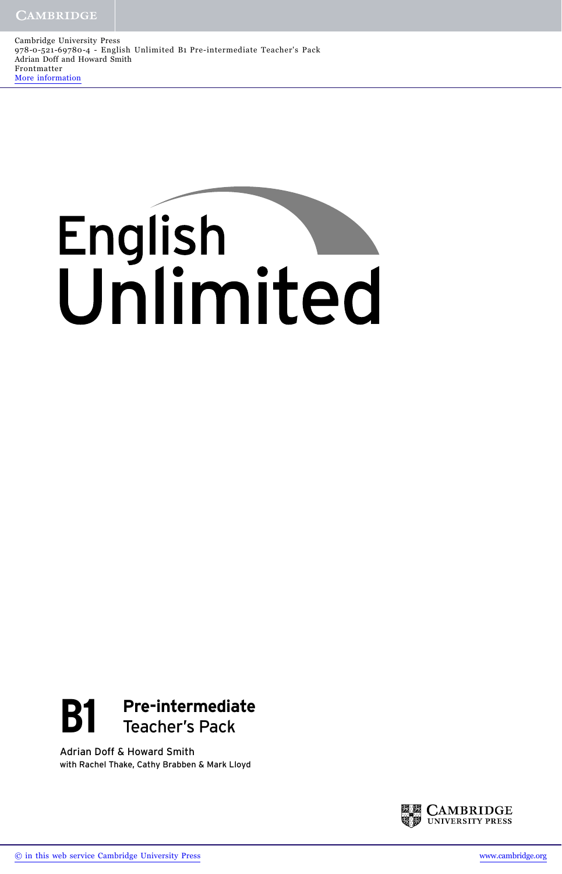Cambridge University Press 978-0-521-69780-4 - English Unlimited B1 Pre-intermediate Teacher's Pack Adrian Doff and Howard Smith Frontmatter [More information](http://www.cambridge.org/9780521697804)

# English<br>Unlimited



Adrian Doff & Howard Smith with Rachel Thake, Cathy Brabben & Mark Lloyd

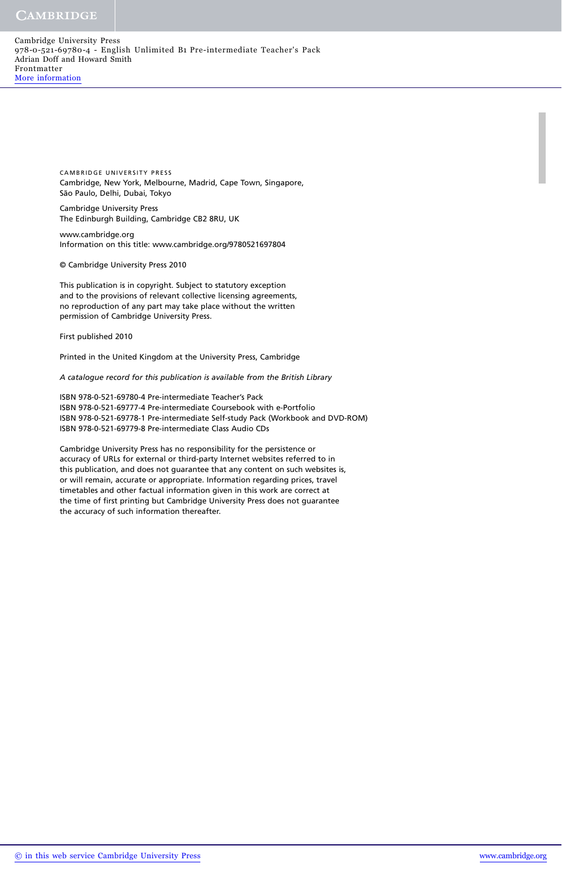### CAMBRIDGE

Cambridge University Press 978-0-521-69780-4 - English Unlimited B1 Pre-intermediate Teacher's Pack Adrian Doff and Howard Smith Frontmatter [More information](http://www.cambridge.org/9780521697804)

> CAMBRIDGE UNIVERSITY PRESS Cambridge, New York, Melbourne, Madrid, Cape Town, Singapore, São Paulo, Delhi, Dubai, Tokyo

Cambridge University Press The Edinburgh Building, Cambridge CB2 8RU, UK

www.cambridge.org Information on this title: www.cambridge.org/9780521697804

© Cambridge University Press 2010

This publication is in copyright. Subject to statutory exception and to the provisions of relevant collective licensing agreements, no reproduction of any part may take place without the written permission of Cambridge University Press.

First published 2010

Printed in the United Kingdom at the University Press, Cambridge

*A catalogue record for this publication is available from the British Library*

ISBN 978-0-521-69780-4 Pre-intermediate Teacher's Pack ISBN 978-0-521-69777-4 Pre-intermediate Coursebook with e-Portfolio ISBN 978-0-521-69778-1 Pre-intermediate Self-study Pack (Workbook and DVD-ROM) ISBN 978-0-521-69779-8 Pre-intermediate Class Audio CDs

Cambridge University Press has no responsibility for the persistence or accuracy of URLs for external or third-party Internet websites referred to in this publication, and does not guarantee that any content on such websites is, or will remain, accurate or appropriate. Information regarding prices, travel timetables and other factual information given in this work are correct at the time of first printing but Cambridge University Press does not guarantee the accuracy of such information thereafter.